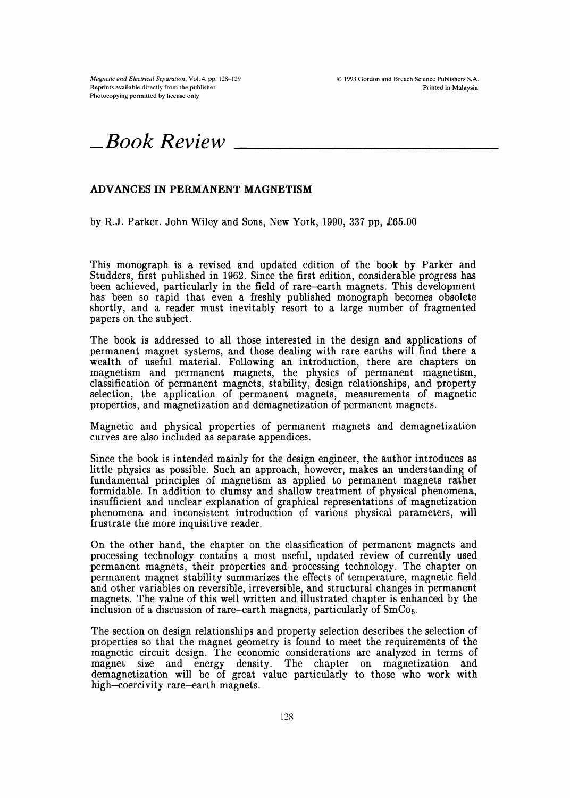Magnetic and Electrical Separation, Vol. 4, pp. 128-129 Reprints available directly from the publisher Photocopying permitted by license only



## ADVANCES IN PERMANENT MAGNETISM

by R.J. Parker. John Wiley and Sons, New York, 1990, 337 pp, £65.00

This monograph is a revised and updated edition of the book by Parker and Studders, first published in 1962. Since the first edition, considerable progress has been achieved, particularly in the field of rare-earth magnets. This development has been so rapid that even a freshly published monograph becomes obsolete shortly, and a reader must inevitably resort to a large number of fragmented papers on the subject.

The book is addressed to all those interested in the design and applications of permanent magnet systems, and those dealing with rare earths will find there a wealth of useful material. Following an introduction, there are chapters on magnetism and permanent magnets, the physics of permanent magnetism, classification of permanent magnets, stability, design relationships, and property selection, the application of permanent magnets, measurements of magnetic properties, and magnetization and demagnetization of permanent magnets.

Magnetic and physical properties of permanent magnets and demagnetization curves are also included as separate appendices.

Since the book is intended mainly for the design engineer, the author introduces as little physics as possible. Such an approach, however, makes an understanding of fundamental principles of magnetism as applied to permanent magnets rather formidable. In addition to clumsy and shallow treatment of physical phenomena, insufficient and unclear explanation of graphical representations of magnetization phenomena and inconsistent introduction of various physical parameters, will frustrate the more inquisitive reader.

On the other hand, the chapter on the classification of permanent magnets and processing technology contains a most useful, updated review of currently used permanent magnets, their properties and processing technology. The chapter on permanent magnet stability summarizes the effects of temperature, magnetic field and other variables on reversible, irreversible, and structural changes in permanent magnets. The value of this well written and illustrated chapter is enhanced by the inclusion of a discussion of rare-earth magnets, particularly of  $SmCo<sub>5</sub>$ .

The section on design relationships and property selection describes the selection of properties so that the magnet geometry is found to meet the requirements of the magnetic circuit design. The economic considerations are analyzed in terms of magnet size and energy density. The chapter on magnetization and demagnetization will be of great value particularly to those who work with high-coercivity rare-earth magnets.